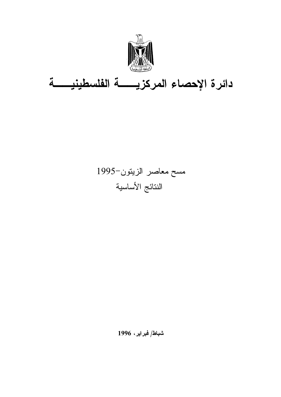

# دائر ة الاحصاء المركزيب في الفلسطيني في

# مسح معاصر الزبتون-1995 النتائج الأساسية

شباط/ فير ابر ، 1996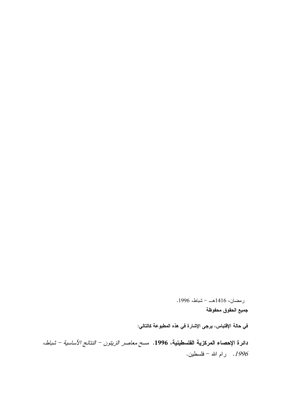جميع الحقوق محفوظة في حالة الاقتباس، برجي الاشارة في هذه المطبوعة كالتالي: دائر ة الاحصاء المركزية الفلسطينية، 1996. م*سح معاصر الزيتون – النتائج الأساسية – شياط،* . رام الله – فلسطين.

رمضان، 1416هــ - شياط، 1996.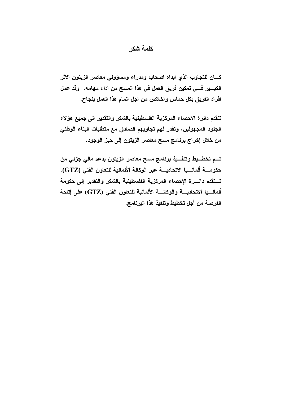#### كلمة شكر

كسان للتجاوب الذى ابداه اصحاب ومدراء ومسؤولى معاصر الزيتون الاثر الكبـــير فـــي تمكين فريق العمل في هذا المسح من اداء مهامه. وقد عمل افراد الفريق بكل حماس واخلاص من اجل اتمام هذا العمل بنجاح.

تتقدم دائرة الاحصاء المركزية الفلسطينية بالشكر والتقدير الى جميع هؤلاء الجنود المجهولين، وتقدر لهم تجاوبهم الصادق مع متطلبات البناء الوطني من خلال إخراج برنامج مسح معاصر الزيتون إلى حيز الوجود.

تــم تخطـــيط وتنفـــيذ برنـامـج مسح معاصر الزيتون بدعم مالـي جزئي من حكومــــــة ألمــانــــيـــــيا الاتحــــــــــــة عبر الـوكـالــة الألمــانيـة للنقعاون الـفنــى (GTZ). تستقدم دائسرة الإحصاء المركزية الفلسطينية بالشكر والتقدير إلى حكومة ألمانسيا الاتحاديسة والوكالسة الألمانية للتعاون الفني (GTZ) على إتاحة الفرصة من أجل تخطيط وتنفيذ هذا البرنامج.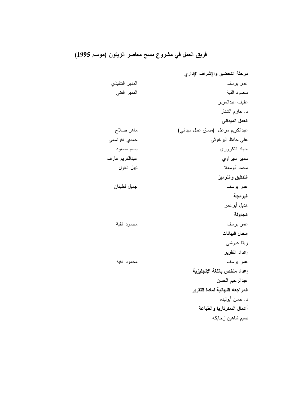### فريق العمل في مشروع مسح معاصر الزيتون (موسم 1995)

مرحلة التحضير والإشراف الإداري المدير التنفيذي عمر يوسف محمود القية المدير الفنى عفيف عبدالعزيز د. حاز مالشنار العمل الميداني عبدالكريم مزعل (منسق عمل ميداني) ماهر صلاح على حافظ البر غوثي حمدي القو اسمي جهاد النكروري بسام مسعود عبدالكريم عارف سمير سيراوي محمد أبومعلا نبيل الغول التدقيق والترميز عمر يوسف جميل قطيفان البرمجة هديل أبو عمر الجدولة عمر يوسف محمود القية إدخال البيانات ريتا عبوشي إعداد التقرير محمود القيه عمر يوسف إعداد ملخص باللغة الإنجليزية عبدالرحيم الحسن المراجعه النهائية لمادة النقرير د. حسن أبولبده أعمال السكرتاريا والطباعة نسیم شاهین زحایکه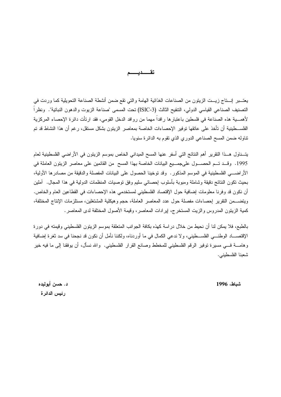يعتــبر السـتاج زيــت الزيتون من الصناعات الغذائية الهامة والتي تقع ضمن أنشطة الصناعة التحويلية كما وردت في النصنيف الصناعي القياسي الدولي، النتقيح الثالث (ISIC-3) نحت المسمى "صناعة الزيوت والدهون النباتية". ونظرا لأهمــــية هذه الصناعة فـي فلسطين باعتبارها رافداً مهما من روافد الدخل القومـي، فقد ارتأت دائرة الإحصـاء المركزية الفلســـطينية أن تأخذ على عاتقها توفير الإحصاءات الخاصة بمعاصر الزيتون بشكل مستقل، رغم أن هذا النشاط قد تم نتاوله ضمن المسح الصناعي الدوري الذي نقوم به الدائرة سنويا.

يتــناول هـــذا النقرير أهم النتائج التي أسفر عنها المسح الميداني الخاص بموسم الزيتون في الأراضـي الفلسطينية لعام 1995. وقــد تــم الحصـــول علىجمـــيع البيانات الخاصة بهذا المسح من القائمين على معاصر الزيتون العاملة في الأراضـــي الفلسطينية في الموسم المذكور . وقد توخينا الحصول على البيانات المفصلة والدقيقة من مصادرها الأولية، بحيث تكون النتائج دقيقة وشاملة ومبوبة بأسلوب إحصائي سليم وفق نوصيات المنظمات الدولية في هذا المجال. آملين أن نكون قد وفرنا معلومات إضافية حول الإقتصاد الفلسطيني لمستخدمي هذه الإحصاءات في القطاعين العام والخاص. ويتضـــمن التقرير إحصـاءات مفصلة حول عدد المعاصر العاملة، حجم وهيكلية المشتغلين، مستلزمات الإنتاج المختلفة، كمية الزيتون المدروس والزيت المستخرج، إيرادات المعاصر، وقيمة الأصول المختلفة لدى المعاصر .

بالطبع، فلا يمكن لذا أن نحيط من خلال در اسة كهذه بكافة الجوانب المتعلقة بموسم الزيتون الفلسطيني وقيمته في دورة الإقتصــــاد الوطنــــي الفلســـطينـي، ولا ندعـي الكمال فـي ما أوردنـاه، ولكننـا نـأمل أن نكون قد نـجحنا فـي سد ثغرة إضـافية وهامــــة فــــى مسيرة توفير الرقم الفلسطيني للمخطط وصـانـع القرار الفلسطينـي. والله نسأل، أن يوفقنا إلى مـا فيه خير شعبنا الفلسطيني.

شباط، 1996

د. حسن أبولبده رئيس الدائرة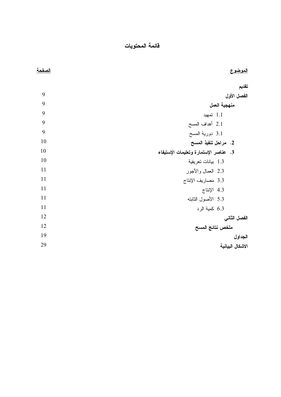فائمة المحتويات

| <u>الصفحة</u> | <u>الموضوع</u>                        |
|---------------|---------------------------------------|
|               | تقديم                                 |
| 9             | الفصل الأول                           |
| 9             | منهجية العمل                          |
| 9             | 1.1 تمهيد                             |
| 9             | 2.1 أهداف المسح                       |
| 9             | 3.1 دورية المسح                       |
| 10            | 2. مراحل تنفيذ المسح                  |
| 10            | 3. عناصر الإستمارة وتعليمات الإستيفاء |
| 10            | 1.3 بيانات تعريفية                    |
| 11            | 2.3 العمال والأجور                    |
| 11            | 3.3 مصاريف الإنتاج                    |
| 11            | 4.3 الإنتاج                           |
| 11            | 5.3 الأصول الثابته                    |
| 11            | 6.3 كمية الرد                         |
| 12            | الفصل الثاني                          |
| 12            | ملخص نتائج المسح                      |
| 19            | الجداول                               |
| 29            | الاشكال البيانية                      |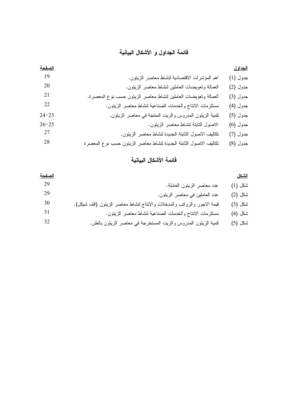### قائمة الحداول و الأشكال البيانية

| الصفحة    |                                                                   | الجداول  |
|-----------|-------------------------------------------------------------------|----------|
| 19        | اهم المؤشرات الاقتصادية لنشاط معاصر الزيتون.                      | جدول (1) |
| 20        | العمالة وتعويضات العاملين لنشاط معاصر الزيتون.                    | جدول (2) |
| 21        | العمالة وتعويضات العاملين لنشاط معاصر الزيتون حسب نوع المعصرة.    | جدول (3) |
| 22        | مستلزمات الانتاج والخدمات الصناعية لنشاط معاصر الزيتون.           | جدول (4) |
| $24 - 23$ | كمية الزيتون المدروس والزيت المنتجة في معاصر الزيتون.             | جدول (5) |
| $26 - 25$ | الاصول الثابتة لنشاط معاصر الزينون.                               | جدول (6) |
| 27        | تكاليف الاصول الثابتة الجديدة لنشاط معاصر الزيتون.                | جدول (7) |
| 28        | تكاليف الاصول الثابتة الجديدة لنشاط معاصر الزيتون حسب نوع المعصرة | جدول (8) |

### قائمة الأشكال السانية

| <u>الصفحة</u> |                                                                         | <u>الشكل</u> |
|---------------|-------------------------------------------------------------------------|--------------|
| 29            | عدد معاصر الزيتون العاملة.                                              | ئىكل (1)     |
| 29            | عدد العاملين في معاصر الزيتون.                                          | ئىكل (2)     |
| 30            | قيمة الاجور والرواتب والمدخلات والانتاج لنشاط معاصر الزيتون (الف شيكل). | ٹىكل (3)     |
| 31            | مستلزمات الانتاج والخدمات الصناعية لنشاط معاصر الزيتون.                 | ئىكل (4)     |
| 32            | كمية الزيتون المدروس والزيت المستخرجة في معاصر الزيتون بالطن.           | نىكل (5)     |
|               |                                                                         |              |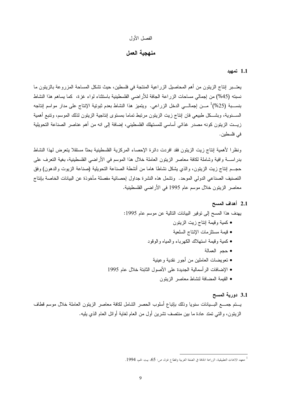#### الفصل الأول

#### منهجية العمل

#### 1.1 تمهيد

<span id="page-9-0"></span>يعتـــبر النتاج الزيتون من أهم المحاصيل الزراعية المنتجة في فلسطين، حيث تشكل المساحة المزروعة بالزيتون ما نسبته (45%) من إجمالي مساحات الزراعة الجافة للأراضي الفلسطينية باستثناء لواء غزة، كما يساهم هذا النشاط بنســبة (25%)<sup>1</sup> مـــن إجمالـــي الدخل الزراعي. ويتميز هذا النشاط بعدم ثبوتية الإنتاج على مدار مواسم إنتاجه الســــنوية، وبشـــكل طبيعي فان إنتاج زيت الزينون مرنبط تماما بمستوى إنتاجية الزينون لذلك الموسم، ونتبع أهمية زيــت الزيتون كونه مصدر غذائـي أساسـي للمستهلك الفلسطينـي، إضافة إلـي انه من أهم عناصـر الصناعة التحويلية في فلسطين.

ونظرا لأهمية إنتاج زيت الزيتون فقد افردت دائرة الإحصاء المركزية الفلسطينية بحثا مستقلا يتعرض لهذا النشاط بدر اســــة و افية وشاملة لكافة معاصر الزينون العاملة خلال هذا الموسم في الأراضـي الفلسطينية، بغية النعرف علـي حجــم اِنتاج زيت الزيتون، والذي يشكل نشاطا هاما من أنشطة الصناعة التحويلية (صناعة الزيوت والدهون) وفق التصنيف الصناعي الدولي الموحد. وتشمل هذه النشر ة جداول إحصائية مفصلة مأخوذة عن البيانات الخاصة بإنتاج معاصر الزيتون خلال موسم عام 1995 في الأراضـي الفلسطينية.

#### 2.1 أهداف المسح

يهدف هذا المسح إلى توفير البيانات التالية عن موسم عام 1995:

- كمية وقيمة إنتاج زيت الزيتون
- قيمة مستلزمات الإنتاج السلعية
- كمية وقيمة استهلاك الكهرباء والمياه والوقود
	- حدم العمالة
- تعويضات العاملين من أجور نقدية و عينية
- الإضافات الرأسمالية الجديدة على الأصول الثابتة خلال عام 1995
	- القيمة المضافة لنشاط معاصر الزيتون

#### 3.1 دورية المسح

يستم جمسع البسيانات سنويا وذلك بإتباع أسلوب الحصر الشامل لكافة معاصر الزيتون العاملة خلال موسع قطاف الزينون، والنبي نمنذ عادة ما بين منتصف نشرين أول من العام لغاية أوائل العام الذي يليه.

معهد الابحاث التطبيقية، الزراعة الجافة في الضفة الغربية وقطاع غزة، ص: 65، بيت لحم، 1994.  $^1$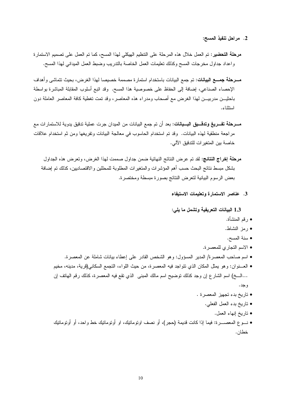- 2. مراحل تنفيذ المسح:
- مرحلة التحضير: تم العمل خلال هذه المرحلة على التنظيم الهيكلي لهذا المسح، كما تم العمل على تصميم الاستمارة واعداد جداول مخرجات المسح وكذلك تعليمات العمل الخاصة بالندريب وضبط العمل المبداني لهذا المسح.
- مسرحلة جمسع البيانات: تم جمع البيانات باستخدام استمار ة مصممة خصيصا لهذا الغر ض، بحيث تتماشى و أهداف الإحصاء الصناعي، إضافة إلى الحفاظ على خصوصية هذا المسح. وقد اتبع أسلوب المقابلة المباشرة بواسطة باحثيـــن مدربيــــن لمهذا الغرض مـع أصـحاب ومدراء هذه المعاصر ، وقد تمت تغطية كافة المعاصر العاملة دون استثناء.
- **مـــرحلة تفـــريـغ وتدقـــيق البـــيانـات**: بعد أن تم جمـع البيانـات من الميدان جرت عملية تدقيق يدوية للاستمار ات مـع مراجعة منطقية لمهذه البيانات. وقد تم استخدام الحاسوب في معالجة البيانات وتفريغها ومن ثم استخدام علاقات خاصية بين المتغير ات للتدقيق الآلي.
	- مرحلة إخراج النتائج: لقد تم عرض النتائج النهائية ضمن جداول صممت لهذا الغرض، وتعرض هذه الجداول بشكل مبسط نتائج البحث حسب أهم المؤشرات والمتغيرات المطلوبة للمحللين والاقتصاديين، كذلك تم إضافة بعض الرسوم البيانية لتعرض النتائج بصورة مبسطة ومختصرة.
		- 3. عناصر الاستمارة وتعليمات الاستيفاء

1.3 البيانات التعريفية وتشمل ما يلي:

- رقم المنشأة.
- رمز النشاط.
- سنة المسح.
- الاسم التجاري للمعصرة.
- اسم صاحب المعصرة/ المدير المسؤول: وهو الشخص القادر على إعطاء بيانات شاملة عن المعصرة.
- العـــنوان: وهو يمثل المكان الذي نتواجد فيه المعصرة، من حيث اللواء، التجمع السكاني(قرية، مدينه، مخيم …الـــخ) اسم الشار ع إن وجد كذلك توضيح اسم مالك المبنـي الذي نقع فيه المعصـرة، كذلك رقم الـهاتف إن و جد .
	- تاريخ بدء تجهيز المعصرة .
		- تاريخ بدء العمل الفعلي.
			- ناريخ إنهاء العمل.
- نـــوع المعصـــــرة: فيما إذا كانت قديمة (حجر)، أو نصف اونومانتيك، او أونومانتيك خط واحد، أو أونومانتيك خطان.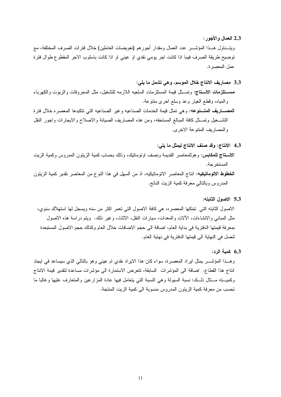2.3 العمال والأجور :

ويتـــناول هـــذا المؤشــــر عدد العمال ومقدار أجورهم (تعويضات العاملين) خلال فترات الصرف المختلفة، مع نوضيح طريقة الصرف فيما اذا كانت اجر بومي نقدي او عيني او اذا كانت باسلوب الاجر المقطوع طوال فنرة عمل المعصرة.

- 3.3 مصاريف الانتاج خلال الموسم، وهي تشمل ما يلي:
- مســــتلزمات الاســتاج: وتمـــثل قيمة المستلزمات السلعيه اللازمه للتشغيل، مثل المحروفات والزيوت والكهرباء والمياه، وقطع الغيار وعد وسلع اخرى متنوعة.

المصـــاريف المتـــنوعه: وهي تمثل قيمة الخدمات الصناعيه وغير الصناعيه التي تتكبدها المعصره خلال فترة النشـــغيل ونمـــثل كافة المبالـغ المستحقه، ومن هذه المصــاريف الصـيانـة والاصـلاح والايجارات واجور النقل والمصاريف المنتوعة الاخرى.

- 4.3 الانتاج: وقد صنف الانتاج ليمثل ما يلي:
- الاستاج للمكابس: وهوللمعاصر القديمة ونصف اونومانيك، وذلك بحساب كمية الزينون المدروس وكمية الزيت المستخر جة.
- **الخطوط الاتوماتيكيه:** انتاج المعاصر الاتوماتيكيه، اذ من السهل في هذا النوع من المعاصر نقدير كمية الزيتون المدر وس وبالتالي معرفة كمية الزيت الناتج.

5.3 الاصول الثابته:

الاصول الثابته التبي تملكها المعصر ه، هي كافة الاصول التبي تعمر اكثر من سنه ويسجل لها استهلاك سنوي، مثل المبانـي والانشاءات، الألات والمعدات، سيارات النقل، الاثاث، وغير ذلك. ۖ ويتم در اسة هذه الاصـول بمعرفة قيمتها الدفترية في بداية العام، اضافة الى حجم الاضافات خلال العام وكذلك حجم الاصول المستبعدة لنصل في النهاية الى قيمتها الدفترية في نهاية العام.

6.3 كمبة الرد:

وهـــذا المؤشــــر يمثل ايراد المعصرة، سواء كان هذا الايراد نقدي ام عيني وهو بالتالي الذي سيساعد في ايجاد انتاج هذا القطاع. اضافة الى المؤشر ات السابقة، تتعرض الاستمار ة الى مؤشر ات مساعدة لتقدير قيمة الانتاج وكميــــنه مــــثال ذلـــك: نسبة السيولة وهي النسبة النبي يتعامل فيها عادة المزار عين والمتعارف عليها وغالبا ما تحسب من معرفة كمية الزيتون المدروس منسوبة الى كمية الزيت المنتجة.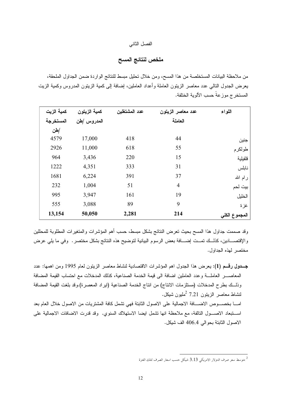#### الفصل الثاني

#### ملخص لنتائج المسح

<span id="page-12-0"></span>من ملاحظة البيانات المستخلصة من هذا المسح، ومن خلال تحليل مبسط للنتائج الواردة ضمن الجداول الملحقة، يعرض الجدول النالي عدد معاصر الزينون العاملة وأعداد العاملين، إضافة إلى كمية الزينون المدروس وكمية الزيت المستخرج موزعة حسب الألوية الختلفة.

| كمية الزيت | كمية الزيتون | عدد المشتغلين | عدد معاصر الزيتون | اللواء        |
|------------|--------------|---------------|-------------------|---------------|
| المستخرجة  | المدروس /طن  |               | العاملة           |               |
| /طن        |              |               |                   |               |
| 4579       | 17,000       | 418           | 44                | جنين          |
| 2926       | 11,000       | 618           | 55                | طولكرم        |
| 964        | 3,436        | 220           | 15                | قلقيلية       |
| 1222       | 4,351        | 333           | 31                | نابلس         |
| 1681       | 6,224        | 391           | 37                | رام الله      |
| 232        | 1,004        | 51            | $\overline{4}$    | بيت لحم       |
| 995        | 3,947        | 161           | 19                | الخليل        |
| 555        | 3,088        | 89            | 9                 | غزة           |
| 13,154     | 50,050       | 2,281         | 214               | المجموع الكلى |

وقد صممت جداول هذا المسح بحيث تعرض النتائج بشكل مبسط، حسب أهم المؤشرات والمتغيرات المطلوبة للمحللين والإقتصــــادين، كذلـــك تمـــت إضــــافة بعض الرسوم البيانية لتوضيح هذه النتائج بشكل مختصر . وفي ما يلي عرض مختصر لهذه الجداول.

جــدول رقــم (1): يعرض هذا الجدول اهم المؤشرات الاقتصـادية لنشاط معاصر الزيتون لعام 1995 ومن اهمها: عدد المعاصب العاملية وعدد العاملين اضافة الى قيمة الخدمة الصناعية، كذلك المدخلات مع احتساب القيمة المضافة وذلــك بطرح المدخلات (مستلزمات الانتاج) من انتاج الخدمة الصناعية (ايراد المعصرة).وقد بلغت القيمة المضافة لنشاط معاصر الزبتون 7.21 <sup>2</sup>مليون شيكل. امـــا بـخصــــوص الاضــــافة الاجمالية علـى الاصول الثابتة فهي تشمل كافة المشتريات من الاصول خلال العام بعد استنبعاد الاصـول النالفة، مع ملاحظة انها تشمل ايضا الاستهلاك السنوي. وقد قدرت الاضافات الاجمالية على الاصول الثابتة بحوالي 406.4 الف شيكل.

متوسط سعر صرف الدولار الامريكي 3.13 شيكل حسب اسعار الصرف لتلك الفترة  $^2$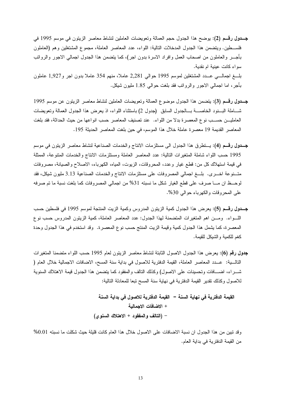- جـــدول رقـــم (2): يوضح هذا الجدول حجم العمالة وتعويضات العاملين لنشاط معاصر الزيتون في موسم 1995 في فلســـطين. ويتضمن هذا الجدول المدخلات النالية: اللواء، عدد المعاصر العاملة، مجموع المشتغلين وهم (العاملون بأجــــر والعاملون من اصـحاب العمل وافراد الاسرة بدون اجر)، كما يتضمن هذا الـجدول اجمالـي الاجور والروانب سواء كانت عينية ام نقدية. بلَّـــغ اجمالــــي عــــدد المشتغلين لموسم 1995 حوالي 2٫281 عاملًا، منهم 354 عاملًا بدون اجر و1٫927 عاملون بأجر ، اما اجمالي الإجور والرواتب فقد بلغت حوالي 1.85 مليون شيكل.
- جــدول رقــم (3): يتضمن هذا الجدول موضوع العمالة وتعويضات العاملين لنشاط معاصر الزيتون عن موسع 1995 شـــاملة البـــنود الخاصــــة بـــالجدول السابق (جدول 2) باستثناء اللواء، اذ يعرض هذا الجدول العمالة وتعويضات العامليـــن حســـب نوع المعصرة بدلا من اللواء. عند تصنيف المعاصر حسب انواعها من حيث الحداثة، فقد بلغت المعاصر القديمة 19 معصرة عاملة خلال هذا الموسم، في حين بلغت المعاصر الحديثة 195.
- جــدول رقــم (4): يـــنطرق هذا الـجدول الـي مستلزمات الانتاج والخدمات الصناعية لنشاط معاصر الزيتون في موسم 1995 حسب اللواء شاملة المتغيرات التالية: عدد المعاصر العاملة ومستلزمات الانتاج والخدمات المتنوعة، الممثلة في قيمة استهلاك كل من: قطع غيار وعدد، المحروقات، الزيوت، المياه، الكهرباء، الاصلاح والصيانة، مصروفات متـــنوعة اخــــرى. بلــــغ اجمالي المصروفات على مستلزمات الانتاج والخدمات الصناعية 3.13 مليون شيكل، فقد لوحــظ ان مـــا صرف على قطع الغيار شكل ما نسبته 31% من اجمالي المصروفات كما بلغت نسبة ما تم صرفه على المحروفات والكهرباء حوالي 30%.
- جــدول رقــم (5): يعرض هذا الجدول كمية الزيتون المدروس وكمية الزيت المنتجة لموسم 1995 في فلسطين حسب اللَّـــواء. ومـــن اهم المتغيرات المتضمنة لهذا الـجدول: عدد المعاصر العاملة، كمية الزيتون المدروس حسب نوع المعصرة، كما يشمل هذا الجدول كمية وقيمة الزيت المنتج حسب نوع المعصرة. وقد استخدم في هذا الجدول وحدة كغم للكمية والشيكل للقيمة.
- **جدول رقم (6): يعر**ض هذا الجدول الاصول الثابتة لنشاط معاصر الزيتون لعام 1995 حسب اللواء متضمنا المتغيرات التالـــية: عـــدد المعاصر العاملة، القيمة الدفترية للاصول في بداية سنة المسح، الاضافات الاجمالية خلال العام ( شــــراء، اضــــافات وتحسينات علـي الاصول) وكذلك النالف والمفقود كما يتضمن هذا الجدول قيمة الاهتلاك السنوية للاصول وكذلك نقدير القيمة الدفترية في نهاية سنة المسح تبعا للمعادلة التالية:

القيمة الدفترية في نهاية السنة = القيمة الدفترية للاصول في بداية السنة + الاضافات الاجمالية – (التالف والمفقود + الاهتلاك السنوي)

وقد نبين من هذا الجدول ان نسبة الاضافات على الاصول خلال هذا العام كانت قليلة حيث شكلت ما نسبته 0.01% من القيمة الدفترية في بداية العام.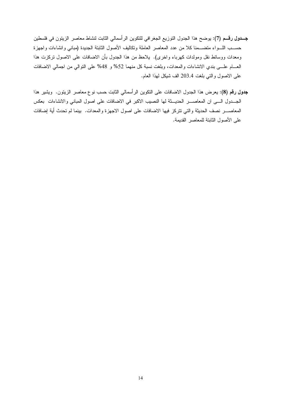- جــدول رقـــم (7): يوضح هذا الجدول التوزيع الجغرافي للتكوين الرأسمالي الثابت لنشاط معاصر الزيتون في فلسطين حســب اللـــواء متضــــمنا كلا من عدد المعاصر العاملة ونكاليف الأصول الثابتة الجديدة (مباني وانشاءات واجهزة ومعدات ووسائط نقل ومولدات كهرباء واخرى). يلاحظ من هذا الجدول بأن الاضافات على الاصول تركزت هذا العسام علـــي بندي الانشاءات والمعدات، وبلغت نسبة كل منهما 52% و 48% على النوالي من اجمالي الاضافات على الاصول والتي بلغت 203.4 الف شيكل لهذا العام.
- **جدول رقم (8):** يعرض هذا الجدول الاضافات على التكوين الرأسمالي الثابت حسب نوع معاصر الزيتون. ويشير هذا الجـــدول الــــي ان المعاصـــــر الحديـــثة لها النصيب الاكبر في الاضافات على اصول المباني والانشاءات بعكس المعاصــــــر نصف الـحديثة والتي نتزكز فيها الاضافات على اصول الاجهزة والمعدات. بينما لم تحدث أية إضافات على الأصول الثابتة للمعاصر القديمة.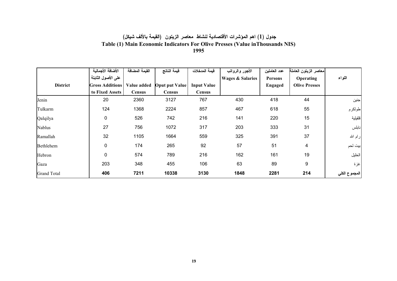#### جدول (1) اهم المؤشرات الأقتصادية لنشاط معاصر الزيتون (القيمة بالألف شيكل) Table (1) Main Economic Indicators For Olive Presses (Value in Thousands NIS) 1995

<span id="page-15-0"></span>

|                    | الأضافة الأجمالية      | القيمة المضافة | فيمة الناتج    | فبمة المدخلات      | الأجور والرواتب             | عدد العاملين | معاصر الزيتون العاملة |               |
|--------------------|------------------------|----------------|----------------|--------------------|-----------------------------|--------------|-----------------------|---------------|
|                    | على الأصول الثابتة     |                |                |                    | <b>Wages &amp; Salaries</b> | Persons      | Operating             | اللواء        |
| <b>District</b>    | <b>Gross Additions</b> | Value added    | Oput put Value | <b>Input Value</b> |                             | Engaged      | <b>Olive Presses</b>  |               |
|                    | to Fixed Assets        | <b>Census</b>  | <b>Census</b>  | Census             |                             |              |                       |               |
| Jenin              | 20                     | 2360           | 3127           | 767                | 430                         | 418          | 44                    | جنين          |
| Tulkarm            | 124                    | 1368           | 2224           | 857                | 467                         | 618          | 55                    | طولكرم        |
| Qalqilya           | 0                      | 526            | 742            | 216                | 141                         | 220          | 15                    | فلقبلية       |
| <b>Nablus</b>      | 27                     | 756            | 1072           | 317                | 203                         | 333          | 31                    | نابلس         |
| Ramallah           | 32                     | 1105           | 1664           | 559                | 325                         | 391          | 37                    | رام الله      |
| Bethlehem          | 0                      | 174            | 265            | 92                 | 57                          | 51           | 4                     | ابيت لحم      |
| Hebron             | 0                      | 574            | 789            | 216                | 162                         | 161          | 19                    | الخليل        |
| Gaza               | 203                    | 348            | 455            | 106                | 63                          | 89           | 9                     | غزة           |
| <b>Grand Total</b> | 406                    | 7211           | 10338          | 3130               | 1848                        | 2281         | 214                   | المجموع الكلي |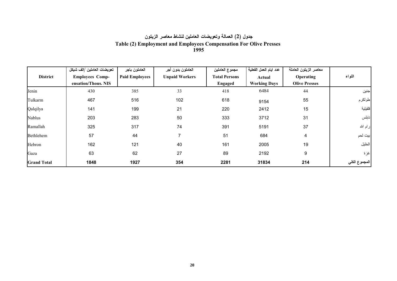#### جدول (2) العمالة وتعويضات العاملين لنشاط معاصر الزيتون Table (2) Employment and Employees Compensation For Olive Presses **1995**

|                    | تعويضات العاملين /الف شيكل | العاملون باجر         | العاملون بدون أجر     | مجموع العاملين       | عدد ايام العمل الفعلية | معاصر الزيتون العاملة   |               |
|--------------------|----------------------------|-----------------------|-----------------------|----------------------|------------------------|-------------------------|---------------|
| <b>District</b>    | <b>Employees Comp-</b>     | <b>Paid Employees</b> | <b>Unpaid Workers</b> | <b>Total Persons</b> | Actual                 | Operating               | اللواء        |
|                    | ensation/Thous. NIS        |                       |                       | Engaged              | <b>Working Days</b>    | <b>Olive Presses</b>    |               |
| Jenin              | 430                        | 385                   | 33                    | 418                  | 6484                   | 44                      | جنين          |
| Tulkarm            | 467                        | 516                   | 102                   | 618                  | 9154                   | 55                      | طولكرم        |
| Qalqilya           | 141                        | 199                   | 21                    | 220                  | 2412                   | 15                      | قلقبلية       |
| Nablus             | 203                        | 283                   | 50                    | 333                  | 3712                   | 31                      | نابلس         |
| Ramallah           | 325                        | 317                   | 74                    | 391                  | 5191                   | 37                      | رام الله      |
| Bethlehem          | 57                         | 44                    |                       | 51                   | 684                    | $\overline{\mathbf{4}}$ | بيت لحم       |
| Hebron             | 162                        | 121                   | 40                    | 161                  | 2005                   | 19                      | الخليل        |
| Gaza               | 63                         | 62                    | 27                    | 89                   | 2192                   | 9                       | غزة           |
| <b>Grand Total</b> | 1848                       | 1927                  | 354                   | 2281                 | 31834                  | 214                     | المجموع الكلي |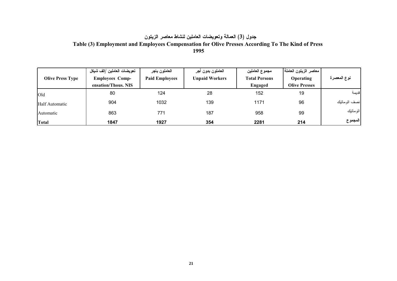# جدول (3) العمالة وتعويضات العاملين لنشاط معاصر الزيتون

# Table (3) Employment and Employees Compensation for Olive Presses According To The Kind of Press

1995

|                         | تعويضات العاملين /الف شيكل | العاملون باجر         | العاملون بدون أجر     | مجموع العاملين       | ممعاصر الزيتون العاملة إ |               |
|-------------------------|----------------------------|-----------------------|-----------------------|----------------------|--------------------------|---------------|
| <b>Olive Press Type</b> | <b>Employees Comp-</b>     | <b>Paid Employees</b> | <b>Unpaid Workers</b> | <b>Total Persons</b> | Operating                | نوع المعصرة   |
|                         | ensation/Thous. NIS        |                       |                       | Engaged              | <b>Olive Presses</b>     |               |
| Old                     | 80                         | 124                   | 28                    | 152                  | 19                       | فديمة         |
| Half Automatic          | 904                        | 1032                  | 139                   | 1171                 | 96                       | نصف اتو ماتبك |
| Automatic               | 863                        | 771                   | 187                   | 958                  | 99                       | اتوماتيك      |
| <b>Total</b>            | 1847                       | 1927                  | 354                   | 2281                 | 214                      | المجموع       |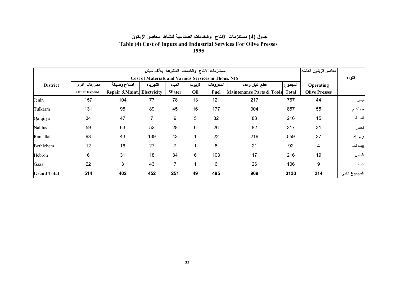#### جدول (4) مستلزمات الأنتاج والخدمات الصناعية لنشاط معاصر الزيتون Table (4) Cost of Inputs and Industrial Services For Olive Presses 1995

|                    |               |                             |                                                             | معاصر الزيتون العاملة |        |           |                                      |              |                      |               |
|--------------------|---------------|-----------------------------|-------------------------------------------------------------|-----------------------|--------|-----------|--------------------------------------|--------------|----------------------|---------------|
|                    |               |                             | <b>Cost of Materials and Various Services in Thous. NIS</b> |                       |        |           |                                      |              |                      | اللواء        |
| <b>District</b>    | مصروفات اخرى  | اصلاح وصيانة                | الكهرباء                                                    | المياه                | الزيوت | المحروقات | قطع غيار وعدد                        | المجموع      | Operating            |               |
|                    | Other Expend. | Repair & Maint. Electricity |                                                             | Water                 | Oil    | Fuel      | <b>Maintenance Parts &amp; Tools</b> | <b>Total</b> | <b>Olive Presses</b> |               |
| Jenin              | 157           | 104                         | 77                                                          | 78                    | 13     | 121       | 217                                  | 767          | 44                   | جنين          |
| Tulkarm            | 131           | 95                          | 89                                                          | 45                    | 16     | 177       | 304                                  | 857          | 55                   | طولكرم        |
| Qalqilya           | 34            | 47                          | 7                                                           | 9                     | 5      | 32        | 83                                   | 216          | 15                   | فلقبلية       |
| <b>Nablus</b>      | 59            | 63                          | 52                                                          | 28                    | $\,6$  | 26        | 82                                   | 317          | 31                   | نابلس         |
| Ramallah           | 93            | 43                          | 139                                                         | 43                    | 1      | 22        | 219                                  | 559          | 37                   | رام الله      |
| Bethlehem          | 12            | 16                          | 27                                                          | 7                     | 1      | 8         | 21                                   | 92           | 4                    | ابيت لحم      |
| Hebron             | 6             | 31                          | 18                                                          | 34                    | $\,6$  | 103       | 17                                   | 216          | 19                   | الخليل        |
| Gaza               | 22            | 3                           | 43                                                          | 7                     | 1      | 6         | 26                                   | 106          | 9                    | غزة           |
| <b>Grand Total</b> | 514           | 402                         | 452                                                         | 251                   | 49     | 495       | 969                                  | 3130         | 214                  | المجموع الكلي |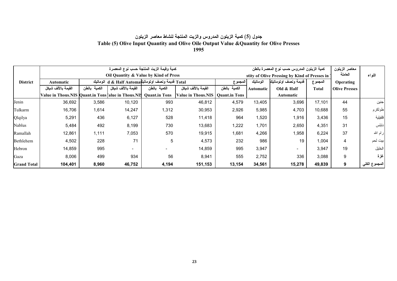#### جدول (5) كمية الزيتون المدروس والزيت المنتجة لنشاط معاصر الزيتون Table (5) Olive Input Quantity and Olive Oile Output Value & Quantity for Olive Presses 1995

|                    |                                                    |              | كمية وقيمة الزيت المنتجة حسب نوع المعصرة                        |                      |                                    | كمية الزيتون المدروس حسب نوع المعصرة بالطن |                                               |                          |         | معاصر الزيتون        |               |
|--------------------|----------------------------------------------------|--------------|-----------------------------------------------------------------|----------------------|------------------------------------|--------------------------------------------|-----------------------------------------------|--------------------------|---------|----------------------|---------------|
|                    |                                                    |              | Oil Quantity & Value by Kind of Press                           |                      |                                    |                                            | ntity of Olive Pressing by Kind of Presses in |                          |         |                      | اللواء        |
| <b>District</b>    | Automatic                                          |              | Total قديمة ونصف اوتوماتيك d & Half Automa قديمة ونصف اوتوماتيك |                      |                                    | المجموع                                    | اتوماتيك                                      | قديمة ونصف اوتوماتيك     | المجموع | Operating            |               |
|                    | القيمة بالألف شيكل                                 | الكمية بالطن | القيمة بالألف شيكل                                              | الكمية بالطن         | القيمة بالألف شبكل                 | الكمية بالطن                               | Automatic                                     | Old $&$ Half             | Total   | <b>Olive Presses</b> |               |
|                    | Value in Thous.NIS Quant.in Tons alue in Thous.NIS |              |                                                                 | <b>Quant.in Tons</b> | Value in Thous.NIS   Quant.in Tons |                                            |                                               | Automatic                |         |                      |               |
| Jenin              | 36,692                                             | 3,586        | 10,120                                                          | 993                  | 46,812                             | 4,579                                      | 13,405                                        | 3,696                    | 17,101  | 44                   | جنين          |
| Tulkarm            | 16,706                                             | 1,614        | 14,247                                                          | 1,312                | 30,953                             | 2,926                                      | 5,985                                         | 4,703                    | 10,688  | 55                   | طولكرم        |
| Qlqilya            | 5,291                                              | 436          | 6,127                                                           | 528                  | 11,418                             | 964                                        | 1,520                                         | 1,916                    | 3,436   | 15                   | فلقبلية       |
| Nablus             | 5,484                                              | 492          | 8,199                                                           | 730                  | 13,683                             | 1,222                                      | 1,701                                         | 2,650                    | 4,351   | 31                   | نابلس         |
| Ramallah           | 12,861                                             | 1,111        | 7,053                                                           | 570                  | 19,915                             | 1,681                                      | 4,266                                         | 1,958                    | 6,224   | 37                   | رام الله      |
| Bethlehem          | 4,502                                              | 228          | 71                                                              | 5                    | 4,573                              | 232                                        | 986                                           | 19                       | 1,004   | 4                    | بيت لحم       |
| Hebron             | 14,859                                             | 995          | $\sim$                                                          |                      | 14,859                             | 995                                        | 3,947                                         | $\overline{\phantom{0}}$ | 3,947   | 19                   | الخليل        |
| Gaza               | 8,006                                              | 499          | 934                                                             | 56                   | 8,941                              | 555                                        | 2,752                                         | 336                      | 3,088   | 9                    | غزة           |
| <b>Grand Total</b> | 104,401                                            | 8,960        | 46,752                                                          | 4,194                | 151,153                            | 13,154                                     | 34,561                                        | 15,278                   | 49,839  | 9                    | المجموع الكلي |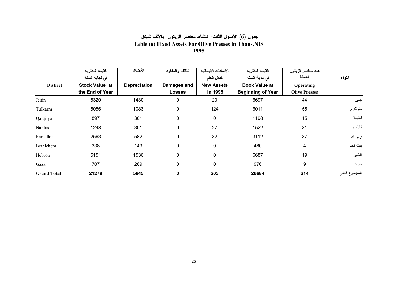#### جدول (6) الأصول الثابته لنشاط معاصر الزيتون بالألف شيكل Table (6) Fixed Assets For Olive Presses in Thous.NIS 1995

|                    | القيمة الدفترية       | الأهتلاك            | التالف والمفقود | الاضافات الاجمالية | القيمة الدفترية          | عدد معاصر الزيتون    |               |
|--------------------|-----------------------|---------------------|-----------------|--------------------|--------------------------|----------------------|---------------|
|                    | في نهاية السنة        |                     |                 | خلال العام         | في بداية السنة           | العاملة              | اللواء        |
| <b>District</b>    | <b>Stock Value at</b> | <b>Depreciation</b> | Damages and     | <b>New Assets</b>  | <b>Book Value at</b>     | Operating            |               |
|                    | the End of Year       |                     | <b>Losses</b>   | in 1995            | <b>Beginning of Year</b> | <b>Olive Presses</b> |               |
| Jenin              | 5320                  | 1430                | 0               | 20                 | 6697                     | 44                   | إجنين         |
| Tulkarm            | 5056                  | 1083                | $\pmb{0}$       | 124                | 6011                     | 55                   | طولكرم        |
| Qalqilya           | 897                   | 301                 | $\pmb{0}$       | 0                  | 1198                     | 15                   | قلقبلية       |
| <b>Nablus</b>      | 1248                  | 301                 | $\pmb{0}$       | 27                 | 1522                     | 31                   | انابلس        |
| Ramallah           | 2563                  | 582                 | $\pmb{0}$       | 32                 | 3112                     | 37                   | رام الله      |
| Bethlehem          | 338                   | 143                 | $\pmb{0}$       | $\mathbf{0}$       | 480                      | 4                    | بيت لحم       |
| Hebron             | 5151                  | 1536                | $\pmb{0}$       | $\mathbf{0}$       | 6687                     | 19                   | الخليل        |
| Gaza               | 707                   | 269                 | $\pmb{0}$       | $\mathbf{0}$       | 976                      | 9                    | اغزة          |
| <b>Grand Total</b> | 21279                 | 5645                | $\bf{0}$        | 203                | 26684                    | 214                  | المجموع الكلي |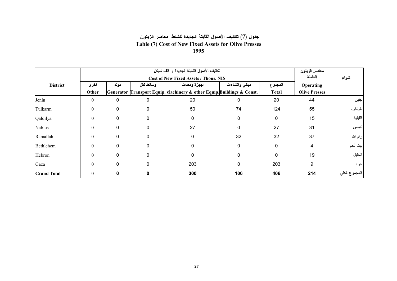#### جدول (7) تكاليف الأصول الثابتة الجديدة لنشاط معاصر الزيتون Table (7) Cost of New Fixed Assets for Olive Presses 1995

|                    |              |              | معاصر الزيتون |                                                                        |                |              |                      |               |
|--------------------|--------------|--------------|---------------|------------------------------------------------------------------------|----------------|--------------|----------------------|---------------|
|                    |              |              |               | <b>Cost of New Fixed Assets / Thous. NIS</b>                           |                |              | العاملة              | اللواء        |
| <b>District</b>    | اخرى         | مولد         | وسائط نقل     | اجهزة ومعدات                                                           | مبانى وانشاءات | المجموع      | Operating            |               |
|                    | Other        |              |               | Generator Transport Equip. Machinery & other Equip. Buildings & Const. |                | <b>Total</b> | <b>Olive Presses</b> |               |
| Jenin              | $\theta$     | 0            | $\Omega$      | 20                                                                     | 0              | 20           | 44                   | جنين          |
| Tulkarm            | $\theta$     | 0            |               | 50                                                                     | 74             | 124          | 55                   | طولكرم        |
| Qalqilya           | $\theta$     | $\mathbf{0}$ |               | $\Omega$                                                               | $\mathbf 0$    | $\Omega$     | 15                   | فلقبلية       |
| <b>Nablus</b>      | $\theta$     | 0            |               | 27                                                                     | 0              | 27           | 31                   | نابلس         |
| Ramallah           | $\theta$     | 0            |               | 0                                                                      | 32             | 32           | 37                   | رام الله      |
| Bethlehem          | $\theta$     | 0            |               |                                                                        | 0              | $\mathbf{0}$ | 4                    | بيت لحم       |
| Hebron             | $\theta$     | 0            |               | 0                                                                      | 0              | $\mathbf{0}$ | 19                   | الخليل        |
| Gaza               | $\theta$     | $\mathbf{0}$ | $\Omega$      | 203                                                                    | 0              | 203          | 9                    | غزة           |
| <b>Grand Total</b> | $\mathbf{0}$ |              |               | 300                                                                    | 106            | 406          | 214                  | المجموع الكلي |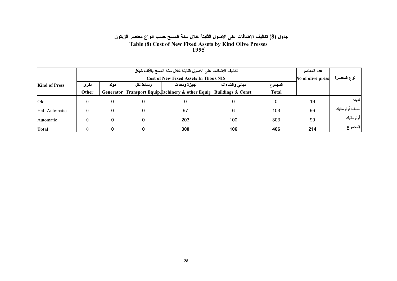# جدول (8) تكاليف الاضافات على الاصول الثابتة خلال سنة المسح حسب انواع معاصر الزيتون Table (8) Cost of New Fixed Assets by Kind Olive Presses<br>1995

|                      |                                              |           |            | تكاليف الاضافات على الاصول الثابتة خلال سنة المسح بالألف شيكل |                |              | عدد المعاصر |                |  |  |
|----------------------|----------------------------------------------|-----------|------------|---------------------------------------------------------------|----------------|--------------|-------------|----------------|--|--|
|                      | <b>Cost of New Fixed Assets In Thous.NIS</b> |           |            |                                                               |                |              |             |                |  |  |
| <b>Kind of Press</b> | اخرى                                         | مولد      | و سائط نقل | اجهزة ومعدات                                                  | مبانس وانشاءات | المجموع      |             |                |  |  |
|                      | Other                                        | Generator |            | Fransport Equip. Iachinery & other Equip Buildings & Const.   |                | <b>Total</b> |             |                |  |  |
| Old                  | $\theta$                                     | 0         |            |                                                               |                |              | 19          | قديمة          |  |  |
| Half Automatic       | $\Omega$                                     |           |            | 97                                                            |                | 103          | 96          | انصف أونوماتيك |  |  |
| Automatic            | $\Omega$                                     | 0         |            | 203                                                           | 100            | 303          | 99          | أوتوماتيك      |  |  |
| Total                |                                              |           |            | 300                                                           | 106            | 406          | 214         | المجموع        |  |  |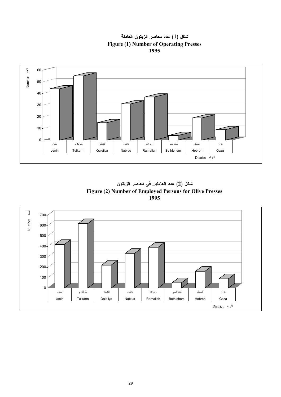<span id="page-23-0"></span>

شكل (1) عدد معاصر الزيتون العاملة **Figure (1) Number of Operating Presses** 1995



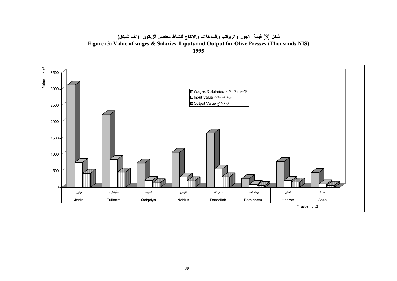شكل (3) قيمة الاجور والرواتب والمدخلات والانتاج لنشاط معاصر الزيتون (الف شيكل) Figure (3) Value of wages & Salaries, Inputs and Output for Olive Presses (Thousands NIS) 1995

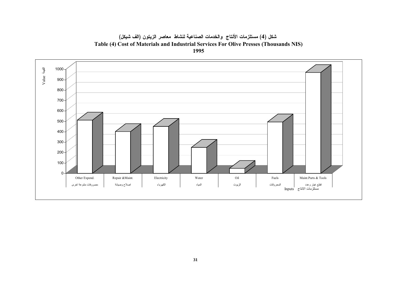شكل (4) مستلزمات الأنتاج والخدمات الصناعية لنشاط معاصر الزيتون (الف شيكل) Table (4) Cost of Materials and Industrial Services For Olive Presses (Thousands NIS) 1995

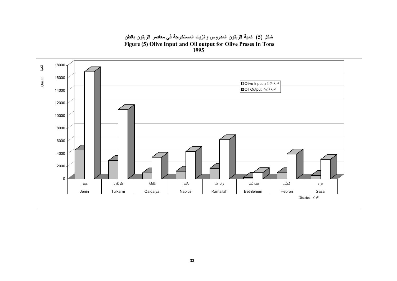شكل (5) كمية الزيتون المدروس والزيت المستخرجة في معاصر الزيتون بالطن Figure (5) Olive Input and Oil output for Olive Prsses In Tons<br>1995

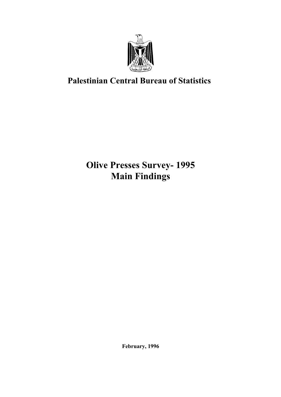

# Palestinian Central Bureau of Statistics

# Olive Presses Survey- 1995 Main Findings

February, 1996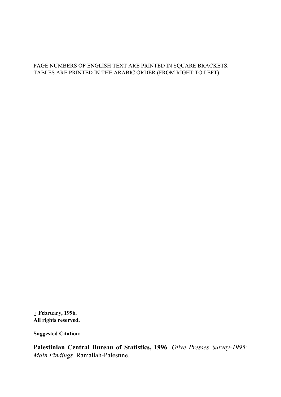#### PAGE NUMBERS OF ENGLISH TEXT ARE PRINTED IN SQUARE BRACKETS. TABLES ARE PRINTED IN THE ARABIC ORDER (FROM RIGHT TO LEFT)

 1996. ,February ر All rights reserved.

Suggested Citation:

Palestinian Central Bureau of Statistics, 1996. Olive Presses Survey-1995: Main Findings. Ramallah-Palestine.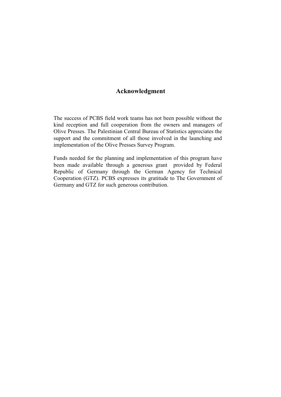#### Acknowledgment

The success of PCBS field work teams has not been possible without the kind reception and full cooperation from the owners and managers of Olive Presses. The Palestinian Central Bureau of Statistics appreciates the support and the commitment of all those involved in the launching and implementation of the Olive Presses Survey Program.

Funds needed for the planning and implementation of this program have been made available through a generous grant provided by Federal Republic of Germany through the German Agency for Technical Cooperation (GTZ). PCBS expresses its gratitude to The Government of Germany and GTZ for such generous contribution.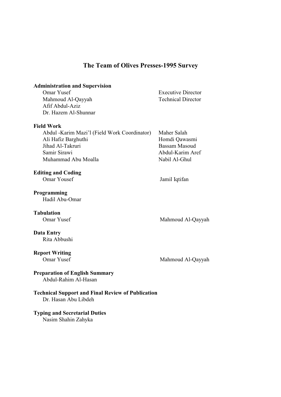#### The Team of Olives Presses-1995 Survey

# Administration and Supervision<br>Omar Yusef

Mahmoud Al-Qayyah Technical Director Afif Abdul-Aziz Dr. Hazem Al-Shunnar

#### Field Work

Abdul -Karim Mazi'l (Field Work Coordinator) Maher Salah Ali Hafiz Barghuthi Homdi Qawasmi Jihad Al-Takruri Bassam Masoud Samir Sirawi **Abdul-Karim Aref** Muhammad Abu Moalla Nabil Al-Ghul

Editing and Coding

Programming Hadil Abu-Omar

**Tabulation**<br>Omar Yusef

Mahmoud Al-Qayyah

#### Data Entry Rita Abbushi

**Report Writing**<br>Omar Yusef

Mahmoud Al-Qayyah

### Preparation of English Summary

Abdul-Rahim Al-Hasan

Technical Support and Final Review of Publication Dr. Hasan Abu Libdeh

## Typing and Secretarial Duties

Nasim Shahin Zahyka

- **Executive Director**
- 

Omar Yousef Jamil Iqtifan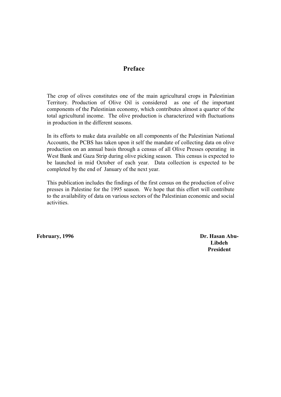#### Preface

The crop of olives constitutes one of the main agricultural crops in Palestinian Territory. Production of Olive Oil is considered as one of the important components of the Palestinian economy, which contributes almost a quarter of the total agricultural income. The olive production is characterized with fluctuations in production in the different seasons.

In its efforts to make data available on all components of the Palestinian National Accounts, the PCBS has taken upon it self the mandate of collecting data on olive production on an annual basis through a census of all Olive Presses operating in West Bank and Gaza Strip during olive picking season. This census is expected to be launched in mid October of each year. Data collection is expected to be completed by the end of January of the next year.

This publication includes the findings of the first census on the production of olive presses in Palestine for the 1995 season. We hope that this effort will contribute to the availability of data on various sectors of the Palestinian economic and social activities.

February, 1996 **Dr. Hasan Abu-**

Libdeh President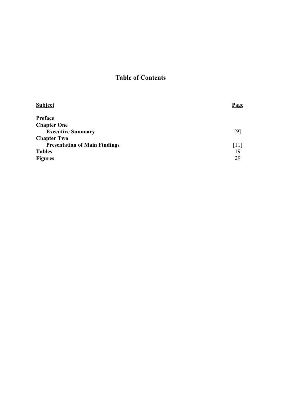## Table of Contents

| <b>Page</b> |
|-------------|
|             |
|             |
| [9]         |
|             |
| [11]        |
| 19          |
| 29          |
|             |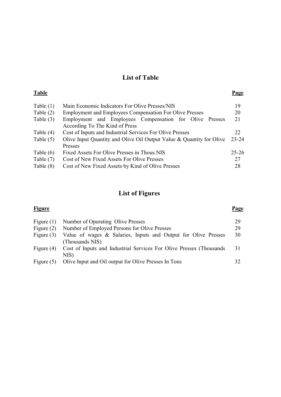## List of Table

|                                                                | Page                                                                 |  |  |  |
|----------------------------------------------------------------|----------------------------------------------------------------------|--|--|--|
| Main Economic Indicators For Olive Presses/NIS                 | 19                                                                   |  |  |  |
| <b>Employment and Employees Compensation For Olive Presses</b> | 20                                                                   |  |  |  |
| Employment and Employees Compensation for Olive<br>Presses     | 21                                                                   |  |  |  |
| According To The Kind of Press                                 |                                                                      |  |  |  |
| Cost of Inputs and Industrial Services For Olive Presses       | 22                                                                   |  |  |  |
| Table $(5)$                                                    |                                                                      |  |  |  |
| Presses                                                        |                                                                      |  |  |  |
| Fixed Assets For Olive Presses in Thous.NIS                    | $25 - 26$                                                            |  |  |  |
| Cost of New Fixed Assets For Olive Presses                     | 27                                                                   |  |  |  |
| Cost of New Fixed Assets by Kind of Olive Presses              | 28                                                                   |  |  |  |
|                                                                | Olive Input Quantity and Olive Oil Output Value & Quantity for Olive |  |  |  |

# List of Figures

| <b>Figure</b> |                                                                                   | Page |
|---------------|-----------------------------------------------------------------------------------|------|
| Figure $(1)$  | Number of Operating Olive Presses                                                 | 29   |
| Figure $(2)$  | Number of Employed Persons for Olive Presses                                      | 29   |
| Figure $(3)$  | Value of wages & Salaries, Inputs and Output for Olive Presses<br>(Thousands NIS) | 30   |
| Figure $(4)$  | Cost of Inputs and Industrial Services For Olive Presses (Thousands<br>NIS)       | 31   |
| Figure $(5)$  | Olive Input and Oil output for Olive Presses In Tons                              | 32   |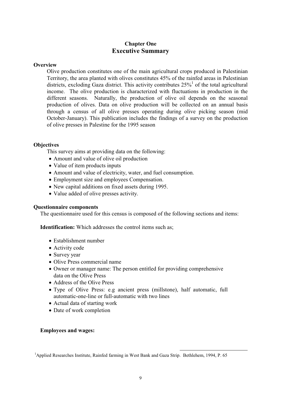#### Chapter One Executive Summary

#### <span id="page-34-0"></span>**Overview**

Olive production constitutes one of the main agricultural crops produced in Palestinian Territory, the area planted with olives constitutes 45% of the rainfed areas in Palestinian districts, excloding Gaza district. This activity contributes  $25\%$ <sup>1</sup> of the total agricultural income. The olive production is characterized with fluctuations in production in the different seasons. Naturally, the production of olive oil depends on the seasonal production of olives. Data on olive production will be collected on an annual basis through a census of all olive presses operating during olive picking season (mid October-January). This publication includes the findings of a survey on the production of olive presses in Palestine for the 1995 season

#### **Objectives**

This survey aims at providing data on the following:

- Amount and value of olive oil production
- Value of item products inputs
- Amount and value of electricity, water, and fuel consumption.
- Employment size and employees Compensation.
- New capital additions on fixed assets during 1995.
- Value added of olive presses activity.

#### Questionnaire components

The questionnaire used for this census is composed of the following sections and items:

Identification: Which addresses the control items such as;

- Establishment number
- Activity code
- Survey year
- Olive Press commercial name
- Owner or manager name: The person entitled for providing comprehensive data on the Olive Press
- Address of the Olive Press
- Type of Olive Press: e.g ancient press (millstone), half automatic, full automatic-one-line or full-automatic with two lines
- Actual data of starting work
- Date of work completion

#### Employees and wages:

<sup>1</sup> Applied Researches Institute, Rainfed farming in West Bank and Gaza Strip. Bethlehem, 1994, P. 65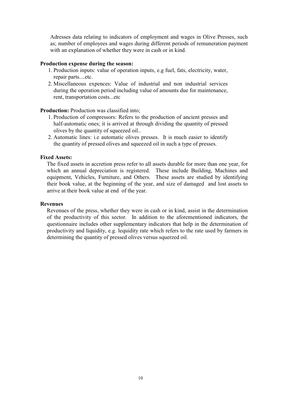Adresses data relating to indicators of employment and wages in Olive Presses, such as; number of employees and wages during different periods of remuneration payment with an explanation of whether they were in cash or in kind.

#### Production expense during the season:

- 1. Production inputs: value of operation inputs, e.g fuel, fats, electricity, water, repair parts....etc.
- 2. Miscellaneous expences: Value of industrial and non industrial services during the operation period including value of amounts due for maintenance, rent, transportation costs...etc

#### Production: Production was classified into;

- 1. Production of compressors: Refers to the production of ancient presses and half-automatic ones; it is arrived at through dividing the quantity of pressed olives by the quantity of squeezed oil..
- 2. Automatic lines: i.e automatic olives presses. It is much easier to identify the quantity of pressed olives and squeezed oil in such a type of presses.

#### Fixed Assets:

The fixed assets in accretion press refer to all assets durable for more than one year, for which an annual depreciation is registered. These include Building, Machines and equipment, Vehicles, Furniture, and Others. These assets are studied by identifying their book value, at the beginning of the year, and size of damaged and lost assets to arrive at their book value at end of the year.

#### Revenues

Revenues of the press, whether they were in cash or in kind, assist in the determination of the productivity of this sector. In addition to the aforementioned indicators, the questionnaire includes other supplementary indicators that help in the determination of productivity and liquidity, e.g. lequidity rate which refers to the rate used by farmers in determining the quantity of pressed olives versus squerzed oil.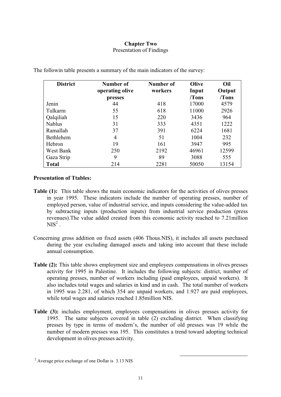#### Chapter Two Presentation of Findings

| <b>District</b> | Number of       | Number of | Olive | Oil    |
|-----------------|-----------------|-----------|-------|--------|
|                 | operating olive | workers   | Input | Output |
|                 | presses         |           | /Tons | /Tons  |
| Jenin           | 44              | 418       | 17000 | 4579   |
| Tulkarm         | 55              | 618       | 11000 | 2926   |
| Qalqiliah       | 15              | 220       | 3436  | 964    |
| <b>Nablus</b>   | 31              | 333       | 4351  | 1222   |
| Ramallah        | 37              | 391       | 6224  | 1681   |
| Bethlehem       | 4               | 51        | 1004  | 232    |
| Hebron          | 19              | 161       | 3947  | 995    |
| West Bank       | 250             | 2192      | 46961 | 12599  |
| Gaza Strip      | 9               | 89        | 3088  | 555    |
| <b>Total</b>    | 214             | 2281      | 50050 | 13154  |

<span id="page-36-0"></span>The followin table presents a summary of the main indicators of the survey:

#### Presentation of Ttables:

- Table (1): This table shows the main economic indicators for the activities of olives presses in year 1995. These indicators include the number of operating presses, number of employed person, value of industrial service, and inputs considering the value-added tax by subtracting inputs (production inputs) from industrial service production (press revenues).The value added created from this economic activity reached to 7.21million  $NIS<sup>2</sup>$ .
- Concerning gross addition on fixed assets (406 Thous.NIS), it includes all assets purchased during the year excluding damaged assets and taking into account that these include annual consumption.
- Table (2): This table shows employment size and employees compensations in olives presses activity for 1995 in Palestine. It includes the following subjects: district, number of operating presses, number of workers including (paid employees, unpaid workers). It also includes total wages and salaries in kind and in cash. The total number of workers in 1995 was 2.281, of which 354 are unpaid workers, and 1.927 are paid employees, while total wages and salaries reached 1.85million NIS.
- Table (3): includes employment, employees compensations in olives presses activity for 1995. The same subjects covered in table (2) excluding district. When classifying presses by type in terms of modern's, the number of old presses was 19 while the number of modern presses was 195. This constitutes a trend toward adopting technical development in olives presses activity.

<sup>&</sup>lt;sup>2</sup> Average price exchange of one Dollar is 3.13 NIS